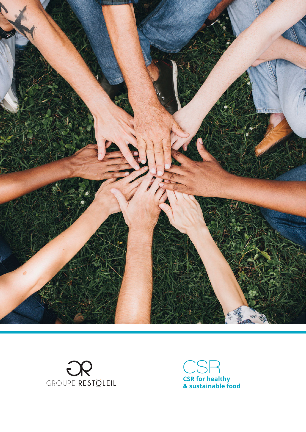



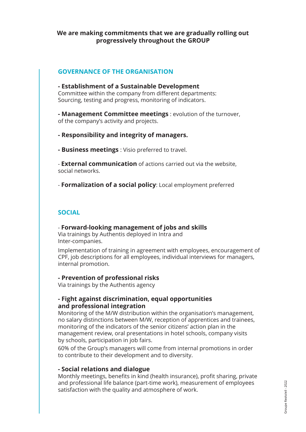## **We are making commitments that we are gradually rolling out progressively throughout the GROUP**

## **GOVERNANCE OF THE ORGANISATION**

### **- Establishment of a Sustainable Development**

Committee within the company from different departments: Sourcing, testing and progress, monitoring of indicators.

**- Management Committee meetings** : evolution of the turnover, of the company's activity and projects.

- **Responsibility and integrity of managers.**
- **Business meetings** : Visio preferred to travel.
- **External communication** of actions carried out via the website, social networks.
- **Formalization of a social policy**: Local employment preferred

# **SOCIAL**

## - **Forward-looking management of jobs and skills**

Via trainings by Authentis deployed in Intra and Inter-companies.

Implementation of training in agreement with employees, encouragement of CPF, job descriptions for all employees, individual interviews for managers, internal promotion.

## **- Prevention of professional risks**

Via trainings by the Authentis agency

### **- Fight against discrimination, equal opportunities and professional integration**

Monitoring of the M/W distribution within the organisation's management, no salary distinctions between M/W, reception of apprentices and trainees, monitoring of the indicators of the senior citizens' action plan in the management review, oral presentations in hotel schools, company visits by schools, participation in job fairs.

60% of the Group's managers will come from internal promotions in order to contribute to their development and to diversity.

## **- Social relations and dialogue**

Monthly meetings, benefits in kind (health insurance), profit sharing, private and professional life balance (part-time work), measurement of employees satisfaction with the quality and atmosphere of work.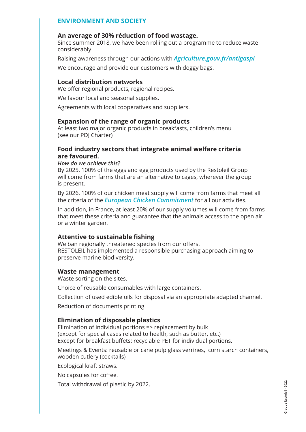### **ENVIRONMENT AND SOCIETY**

#### **An average of 30% réduction of food wastage.**

Since summer 2018, we have been rolling out a programme to reduce waste considerably.

Raising awareness through our actions with *Agriculture.gouv.fr/antigaspi*

We encourage and provide our customers with doggy bags.

#### **Local distribution networks**

We offer regional products, regional recipes.

We favour local and seasonal supplies.

Agreements with local cooperatives and suppliers.

#### **Expansion of the range of organic products**

At least two major organic products in breakfasts, children's menu (see our PDJ Charter)

#### **Food industry sectors that integrate animal welfare criteria are favoured.**

#### *How do we achieve this?*

By 2025, 100% of the eggs and egg products used by the Restoleil Group will come from farms that are an alternative to cages, wherever the group is present.

By 2026, 100% of our chicken meat supply will come from farms that meet all the criteria of the *European Chicken Commitment* for all our activities.

In addition, in France, at least 20% of our supply volumes will come from farms that meet these criteria and guarantee that the animals access to the open air or a winter garden.

#### **Attentive to sustainable fishing**

We ban regionally threatened species from our offers. RESTOLEIL has implemented a responsible purchasing approach aiming to preserve marine biodiversity.

#### **Waste management**

Waste sorting on the sites.

Choice of reusable consumables with large containers.

Collection of used edible oils for disposal via an appropriate adapted channel.

Reduction of documents printing.

#### **Elimination of disposable plastics**

Elimination of individual portions => replacement by bulk (except for special cases related to health, such as butter, etc.) Except for breakfast buffets: recyclable PET for individual portions.

Meetings & Events: reusable or cane pulp glass verrines, corn starch containers, wooden cutlery (cocktails)

Ecological kraft straws.

No capsules for coffee.

Total withdrawal of plastic by 2022.